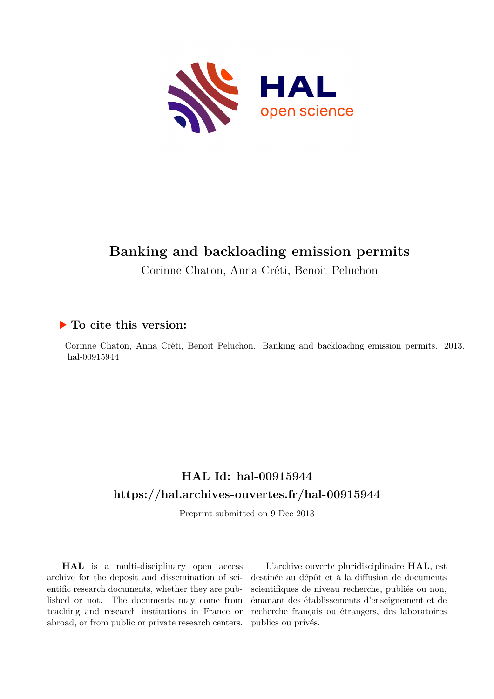

# **Banking and backloading emission permits**

Corinne Chaton, Anna Créti, Benoit Peluchon

### **To cite this version:**

Corinne Chaton, Anna Créti, Benoit Peluchon. Banking and backloading emission permits. 2013. hal-00915944

## **HAL Id: hal-00915944 <https://hal.archives-ouvertes.fr/hal-00915944>**

Preprint submitted on 9 Dec 2013

**HAL** is a multi-disciplinary open access archive for the deposit and dissemination of scientific research documents, whether they are published or not. The documents may come from teaching and research institutions in France or abroad, or from public or private research centers.

L'archive ouverte pluridisciplinaire **HAL**, est destinée au dépôt et à la diffusion de documents scientifiques de niveau recherche, publiés ou non, émanant des établissements d'enseignement et de recherche français ou étrangers, des laboratoires publics ou privés.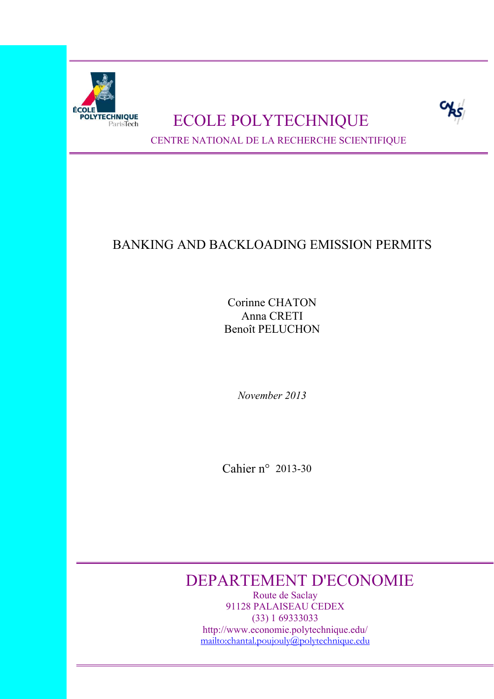

# POLYTECHNIQUE **ECOLE POLYTECHNIQUE**



CENTRE NATIONAL DE LA RECHERCHE SCIENTIFIQUE

# BANKING AND BACKLOADING EMISSION PERMITS

Corinne CHATON Anna CRETI Benoît PELUCHON

*November 2013* 

Cahier n° 2013-30

# DEPARTEMENT D'ECONOMIE

Route de Saclay 91128 PALAISEAU CEDEX (33) 1 69333033 http://www.economie.polytechnique.edu/ mailto:chantal.poujouly@polytechnique.edu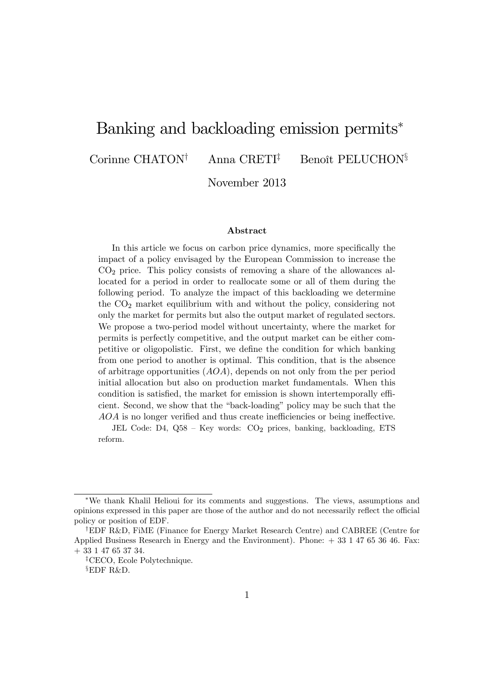# Banking and backloading emission permits

Corinne CHATON<sup>†</sup> Anna CRETI<sup>‡</sup> Benoît PELUCHON<sup>§</sup>

November 2013

#### Abstract

In this article we focus on carbon price dynamics, more specifically the impact of a policy envisaged by the European Commission to increase the  $CO<sub>2</sub>$  price. This policy consists of removing a share of the allowances allocated for a period in order to reallocate some or all of them during the following period. To analyze the impact of this backloading we determine the  $CO<sub>2</sub>$  market equilibrium with and without the policy, considering not only the market for permits but also the output market of regulated sectors. We propose a two-period model without uncertainty, where the market for permits is perfectly competitive, and the output market can be either competitive or oligopolistic. First, we define the condition for which banking from one period to another is optimal. This condition, that is the absence of arbitrage opportunities  $(AOA)$ , depends on not only from the per period initial allocation but also on production market fundamentals. When this condition is satisfied, the market for emission is shown intertemporally efficient. Second, we show that the "back-loading" policy may be such that the  $AOA$  is no longer verified and thus create inefficiencies or being ineffective.

JEL Code: D4,  $Q58 - Key$  words:  $CO<sub>2</sub>$  prices, banking, backloading, ETS reform.

We thank Khalil Helioui for its comments and suggestions. The views, assumptions and opinions expressed in this paper are those of the author and do not necessarily reflect the official policy or position of EDF.

<sup>&</sup>lt;sup>†</sup>EDF R&D, FiME (Finance for Energy Market Research Centre) and CABREE (Centre for Applied Business Research in Energy and the Environment). Phone: + 33 1 47 65 36 46. Fax: + 33 1 47 65 37 34.

<sup>&</sup>lt;sup> $\ddagger$ </sup>CECO, Ecole Polytechnique.

 $$EDF$  R&D.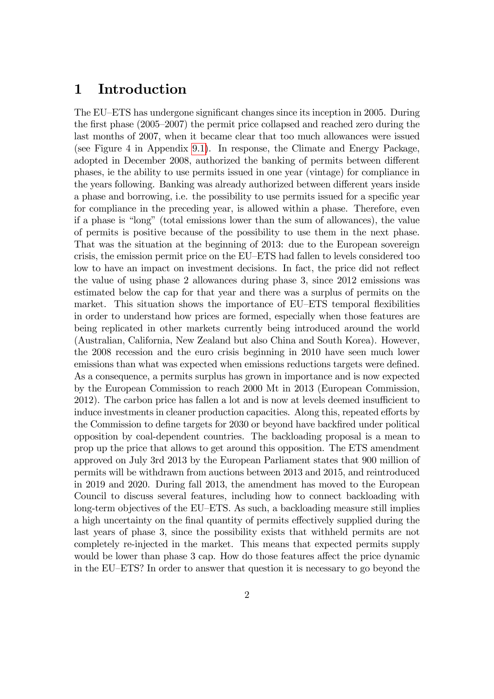### 1 Introduction

The EU–ETS has undergone significant changes since its inception in 2005. During the first phase  $(2005-2007)$  the permit price collapsed and reached zero during the last months of 2007, when it became clear that too much allowances were issued (see Figure 4 in Appendix [9.1\)](#page-18-0). In response, the Climate and Energy Package, adopted in December 2008, authorized the banking of permits between different phases, ie the ability to use permits issued in one year (vintage) for compliance in the years following. Banking was already authorized between different years inside a phase and borrowing, i.e. the possibility to use permits issued for a specific year for compliance in the preceding year, is allowed within a phase. Therefore, even if a phase is "long" (total emissions lower than the sum of allowances), the value of permits is positive because of the possibility to use them in the next phase. That was the situation at the beginning of 2013: due to the European sovereign crisis, the emission permit price on the EU–ETS had fallen to levels considered too low to have an impact on investment decisions. In fact, the price did not reflect the value of using phase 2 allowances during phase 3, since 2012 emissions was estimated below the cap for that year and there was a surplus of permits on the market. This situation shows the importance of EU–ETS temporal flexibilities in order to understand how prices are formed, especially when those features are being replicated in other markets currently being introduced around the world (Australian, California, New Zealand but also China and South Korea). However, the 2008 recession and the euro crisis beginning in 2010 have seen much lower emissions than what was expected when emissions reductions targets were defined. As a consequence, a permits surplus has grown in importance and is now expected by the European Commission to reach 2000 Mt in 2013 (European Commission, 2012). The carbon price has fallen a lot and is now at levels deemed insufficient to induce investments in cleaner production capacities. Along this, repeated efforts by the Commission to define targets for 2030 or beyond have backfired under political opposition by coal-dependent countries. The backloading proposal is a mean to prop up the price that allows to get around this opposition. The ETS amendment approved on July 3rd 2013 by the European Parliament states that 900 million of permits will be withdrawn from auctions between 2013 and 2015, and reintroduced in 2019 and 2020. During fall 2013, the amendment has moved to the European Council to discuss several features, including how to connect backloading with long-term objectives of the EU–ETS. As such, a backloading measure still implies a high uncertainty on the final quantity of permits effectively supplied during the last years of phase 3, since the possibility exists that withheld permits are not completely re-injected in the market. This means that expected permits supply would be lower than phase 3 cap. How do those features affect the price dynamic in the EU– $ETS$ ? In order to answer that question it is necessary to go beyond the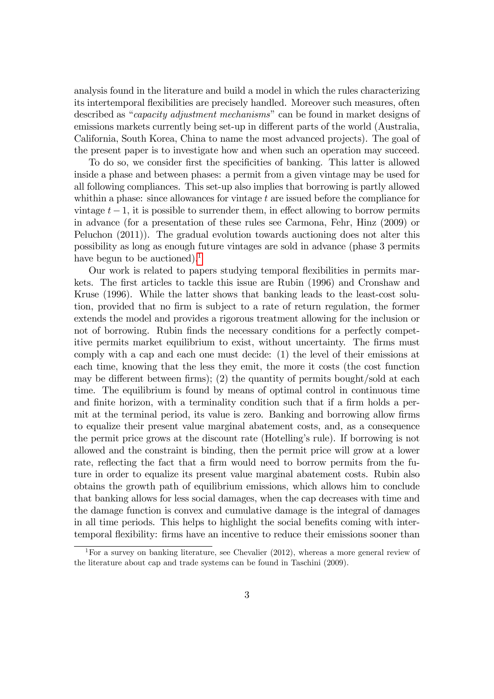analysis found in the literature and build a model in which the rules characterizing its intertemporal flexibilities are precisely handled. Moreover such measures, often described as "*capacity adjustment mechanisms*" can be found in market designs of emissions markets currently being set-up in different parts of the world (Australia, California, South Korea, China to name the most advanced projects). The goal of the present paper is to investigate how and when such an operation may succeed.

To do so, we consider first the specificities of banking. This latter is allowed inside a phase and between phases: a permit from a given vintage may be used for all following compliances. This set-up also implies that borrowing is partly allowed whithin a phase: since allowances for vintage  $t$  are issued before the compliance for vintage  $t - 1$ , it is possible to surrender them, in effect allowing to borrow permits in advance (for a presentation of these rules see Carmona, Fehr, Hinz (2009) or Peluchon (2011)). The gradual evolution towards auctioning does not alter this possibility as long as enough future vintages are sold in advance (phase 3 permits have begun to be auctioned).<sup>[1](#page-4-0)</sup>

Our work is related to papers studying temporal flexibilities in permits markets. The first articles to tackle this issue are Rubin (1996) and Cronshaw and Kruse (1996). While the latter shows that banking leads to the least-cost solution, provided that no firm is subject to a rate of return regulation, the former extends the model and provides a rigorous treatment allowing for the inclusion or not of borrowing. Rubin finds the necessary conditions for a perfectly competitive permits market equilibrium to exist, without uncertainty. The firms must comply with a cap and each one must decide: (1) the level of their emissions at each time, knowing that the less they emit, the more it costs (the cost function may be different between firms); (2) the quantity of permits bought/sold at each time. The equilibrium is found by means of optimal control in continuous time and finite horizon, with a terminality condition such that if a firm holds a permit at the terminal period, its value is zero. Banking and borrowing allow firms to equalize their present value marginal abatement costs, and, as a consequence the permit price grows at the discount rate (Hotellingís rule). If borrowing is not allowed and the constraint is binding, then the permit price will grow at a lower rate, reflecting the fact that a firm would need to borrow permits from the future in order to equalize its present value marginal abatement costs. Rubin also obtains the growth path of equilibrium emissions, which allows him to conclude that banking allows for less social damages, when the cap decreases with time and the damage function is convex and cumulative damage is the integral of damages in all time periods. This helps to highlight the social benefits coming with intertemporal áexibility: Örms have an incentive to reduce their emissions sooner than

<span id="page-4-0"></span><sup>&</sup>lt;sup>1</sup>For a survey on banking literature, see Chevalier (2012), whereas a more general review of the literature about cap and trade systems can be found in Taschini (2009).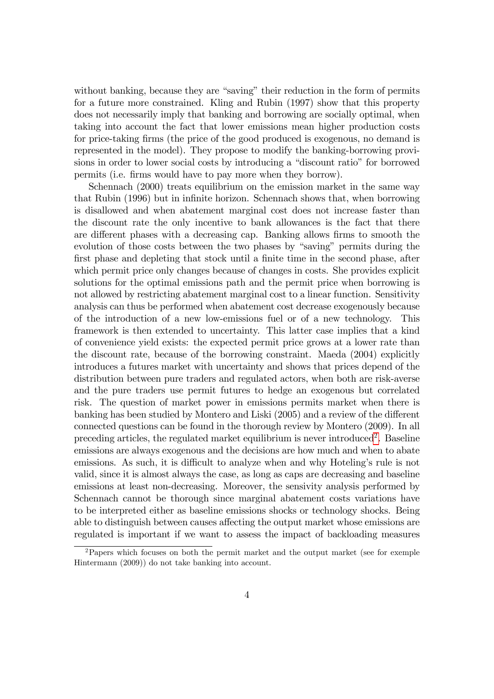without banking, because they are "saving" their reduction in the form of permits for a future more constrained. Kling and Rubin (1997) show that this property does not necessarily imply that banking and borrowing are socially optimal, when taking into account the fact that lower emissions mean higher production costs for price-taking firms (the price of the good produced is exogenous, no demand is represented in the model). They propose to modify the banking-borrowing provisions in order to lower social costs by introducing a "discount ratio" for borrowed permits (i.e. Örms would have to pay more when they borrow).

Schennach (2000) treats equilibrium on the emission market in the same way that Rubin (1996) but in infinite horizon. Schennach shows that, when borrowing is disallowed and when abatement marginal cost does not increase faster than the discount rate the only incentive to bank allowances is the fact that there are different phases with a decreasing cap. Banking allows firms to smooth the evolution of those costs between the two phases by "saving" permits during the first phase and depleting that stock until a finite time in the second phase, after which permit price only changes because of changes in costs. She provides explicit solutions for the optimal emissions path and the permit price when borrowing is not allowed by restricting abatement marginal cost to a linear function. Sensitivity analysis can thus be performed when abatement cost decrease exogenously because of the introduction of a new low-emissions fuel or of a new technology. This framework is then extended to uncertainty. This latter case implies that a kind of convenience yield exists: the expected permit price grows at a lower rate than the discount rate, because of the borrowing constraint. Maeda (2004) explicitly introduces a futures market with uncertainty and shows that prices depend of the distribution between pure traders and regulated actors, when both are risk-averse and the pure traders use permit futures to hedge an exogenous but correlated risk. The question of market power in emissions permits market when there is banking has been studied by Montero and Liski (2005) and a review of the different connected questions can be found in the thorough review by Montero (2009). In all preceding articles, the regulated market equilibrium is never introduced<sup>[2](#page-5-0)</sup>. Baseline emissions are always exogenous and the decisions are how much and when to abate emissions. As such, it is difficult to analyze when and why Hoteling's rule is not valid, since it is almost always the case, as long as caps are decreasing and baseline emissions at least non-decreasing. Moreover, the sensivity analysis performed by Schennach cannot be thorough since marginal abatement costs variations have to be interpreted either as baseline emissions shocks or technology shocks. Being able to distinguish between causes affecting the output market whose emissions are regulated is important if we want to assess the impact of backloading measures

<span id="page-5-0"></span><sup>&</sup>lt;sup>2</sup>Papers which focuses on both the permit market and the output market (see for exemple Hintermann (2009)) do not take banking into account.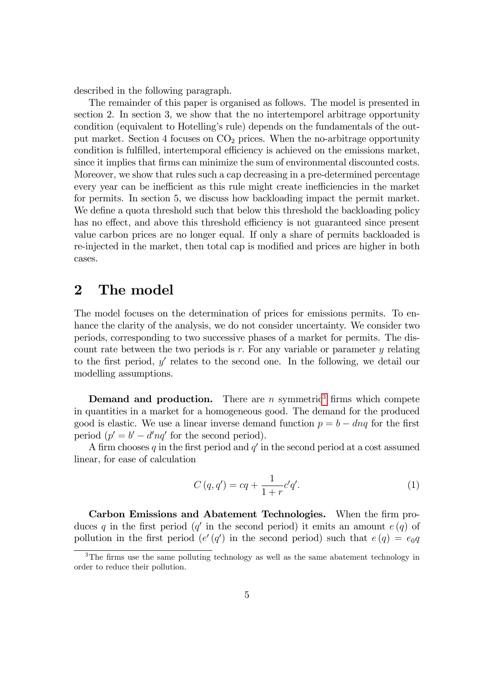described in the following paragraph.

The remainder of this paper is organised as follows. The model is presented in section 2. In section 3, we show that the no intertemporel arbitrage opportunity condition (equivalent to Hotellingís rule) depends on the fundamentals of the output market. Section 4 focuses on  $CO<sub>2</sub>$  prices. When the no-arbitrage opportunity condition is fulfilled, intertemporal efficiency is achieved on the emissions market, since it implies that firms can minimize the sum of environmental discounted costs. Moreover, we show that rules such a cap decreasing in a pre-determined percentage every year can be inefficient as this rule might create inefficiencies in the market for permits. In section 5, we discuss how backloading impact the permit market. We define a quota threshold such that below this threshold the backloading policy has no effect, and above this threshold efficiency is not guaranteed since present value carbon prices are no longer equal. If only a share of permits backloaded is re-injected in the market, then total cap is modified and prices are higher in both cases.

### 2 The model

The model focuses on the determination of prices for emissions permits. To enhance the clarity of the analysis, we do not consider uncertainty. We consider two periods, corresponding to two successive phases of a market for permits. The discount rate between the two periods is  $r$ . For any variable or parameter  $y$  relating to the first period,  $y'$  relates to the second one. In the following, we detail our modelling assumptions.

**Demand and production.** There are  $n$  symmetric<sup>[3](#page-6-0)</sup> firms which compete in quantities in a market for a homogeneous good. The demand for the produced good is elastic. We use a linear inverse demand function  $p = b - d\eta q$  for the first period  $(p' = b' - d'nq'$  for the second period).

A firm chooses q in the first period and  $q'$  in the second period at a cost assumed linear, for ease of calculation

$$
C(q, q') = cq + \frac{1}{1+r}c'q'.
$$
\n(1)

Carbon Emissions and Abatement Technologies. When the firm produces q in the first period (q' in the second period) it emits an amount  $e(q)$  of pollution in the first period  $(e'(q')$  in the second period) such that  $e(q) = e_0q$ 

<span id="page-6-0"></span> $3$ The firms use the same polluting technology as well as the same abatement technology in order to reduce their pollution.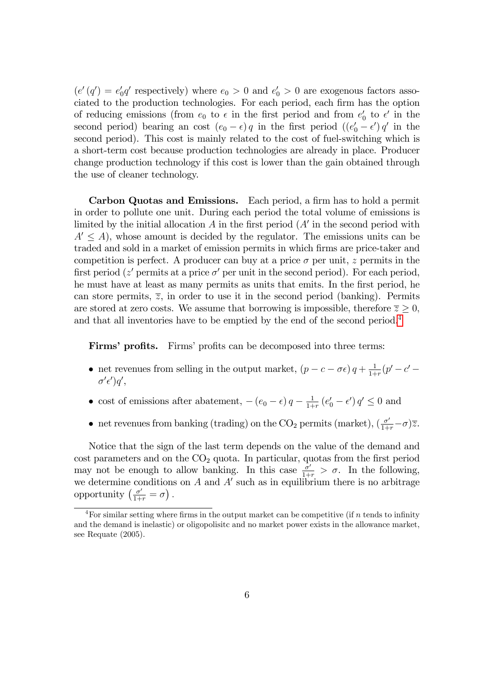$(e'(q') = e'_0)$  $\int_0^t q'$  respectively) where  $e_0 > 0$  and  $e'_0 > 0$  are exogenous factors associated to the production technologies. For each period, each firm has the option of reducing emissions (from  $e_0$  to  $\epsilon$  in the first period and from  $e'_0$  $\frac{1}{0}$  to  $\epsilon'$  in the second period) bearing an cost  $(e_0 - \epsilon) q$  in the first period  $((e'_0 - \epsilon') q'$  in the second period). This cost is mainly related to the cost of fuel-switching which is a short-term cost because production technologies are already in place. Producer change production technology if this cost is lower than the gain obtained through the use of cleaner technology.

Carbon Quotas and Emissions. Each period, a firm has to hold a permit in order to pollute one unit. During each period the total volume of emissions is limited by the initial allocation  $A$  in the first period  $(A'$  in the second period with  $A' \leq A$ ), whose amount is decided by the regulator. The emissions units can be traded and sold in a market of emission permits in which firms are price-taker and competition is perfect. A producer can buy at a price  $\sigma$  per unit, z permits in the first period ( $z'$  permits at a price  $\sigma'$  per unit in the second period). For each period, he must have at least as many permits as units that emits. In the first period, he can store permits,  $\overline{z}$ , in order to use it in the second period (banking). Permits are stored at zero costs. We assume that borrowing is impossible, therefore  $\overline{z} \geq 0$ , and that all inventories have to be emptied by the end of the second period.<sup>[4](#page-7-0)</sup>

Firms' profits. Firms' profits can be decomposed into three terms:

- net revenues from selling in the output market,  $(p c \sigma \epsilon) q + \frac{1}{1 + \epsilon}$  $\frac{1}{1+r}(p'-c' \sigma' \epsilon'$ ) $q'$ ,
- cost of emissions after abatement,  $-(e_0 \epsilon) q \frac{1}{1+i}$  $\frac{1}{1+r} (e'_0 - \epsilon') q' \leq 0$  and
- net revenues from banking (trading) on the CO<sub>2</sub> permits (market),  $(\frac{\sigma'}{1+r}-\sigma)\overline{z}$ .

Notice that the sign of the last term depends on the value of the demand and  $\cos t$  parameters and on the  $CO<sub>2</sub>$  quota. In particular, quotas from the first period may not be enough to allow banking. In this case  $\frac{\sigma'}{1+r} > \sigma$ . In the following, we determine conditions on A and A' such as in equilibrium there is no arbitrage opportunity  $\left(\frac{\sigma'}{1+r} = \sigma\right)$ .

<span id="page-7-0"></span><sup>&</sup>lt;sup>4</sup>For similar setting where firms in the output market can be competitive (if n tends to infinity and the demand is inelastic) or oligopolisitc and no market power exists in the allowance market, see Requate (2005).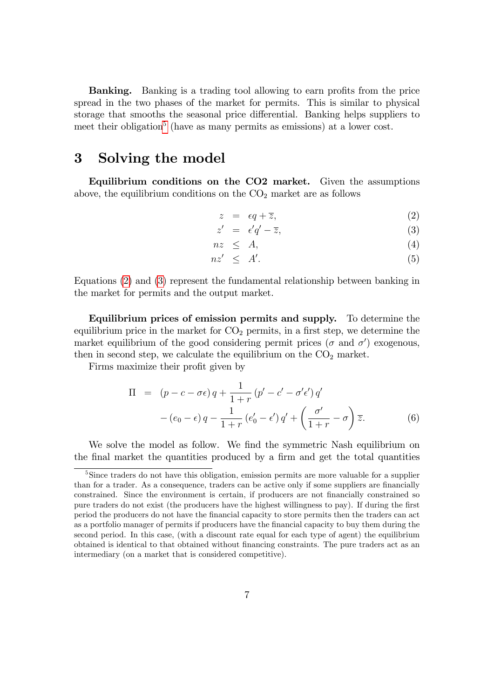**Banking.** Banking is a trading tool allowing to earn profits from the price spread in the two phases of the market for permits. This is similar to physical storage that smooths the seasonal price differential. Banking helps suppliers to meet their obligation<sup>[5](#page-8-0)</sup> (have as many permits as emissions) at a lower cost.

### 3 Solving the model

Equilibrium conditions on the CO2 market. Given the assumptions above, the equilibrium conditions on the  $CO<sub>2</sub>$  market are as follows

<span id="page-8-1"></span>
$$
z = \epsilon q + \overline{z}, \tag{2}
$$

$$
z' = \epsilon' q' - \overline{z},\tag{3}
$$

$$
nz \leq A,\tag{4}
$$

$$
nz' \leq A'. \tag{5}
$$

Equations [\(2\)](#page-8-1) and [\(3\)](#page-8-1) represent the fundamental relationship between banking in the market for permits and the output market.

Equilibrium prices of emission permits and supply. To determine the equilibrium price in the market for  $CO<sub>2</sub>$  permits, in a first step, we determine the market equilibrium of the good considering permit prices ( $\sigma$  and  $\sigma'$ ) exogenous, then in second step, we calculate the equilibrium on the  $CO<sub>2</sub>$  market.

Firms maximize their profit given by

$$
\Pi = (p - c - \sigma \epsilon) q + \frac{1}{1+r} (p' - c' - \sigma' \epsilon') q'
$$
  
 
$$
- (e_0 - \epsilon) q - \frac{1}{1+r} (e'_0 - \epsilon') q' + \left(\frac{\sigma'}{1+r} - \sigma\right) \overline{z}.
$$
 (6)

We solve the model as follow. We find the symmetric Nash equilibrium on the final market the quantities produced by a firm and get the total quantities

<span id="page-8-0"></span><sup>&</sup>lt;sup>5</sup>Since traders do not have this obligation, emission permits are more valuable for a supplier than for a trader. As a consequence, traders can be active only if some suppliers are financially constrained. Since the environment is certain, if producers are not financially constrained so pure traders do not exist (the producers have the highest willingness to pay). If during the first period the producers do not have the Önancial capacity to store permits then the traders can act as a portfolio manager of permits if producers have the Önancial capacity to buy them during the second period. In this case, (with a discount rate equal for each type of agent) the equilibrium obtained is identical to that obtained without Önancing constraints. The pure traders act as an intermediary (on a market that is considered competitive).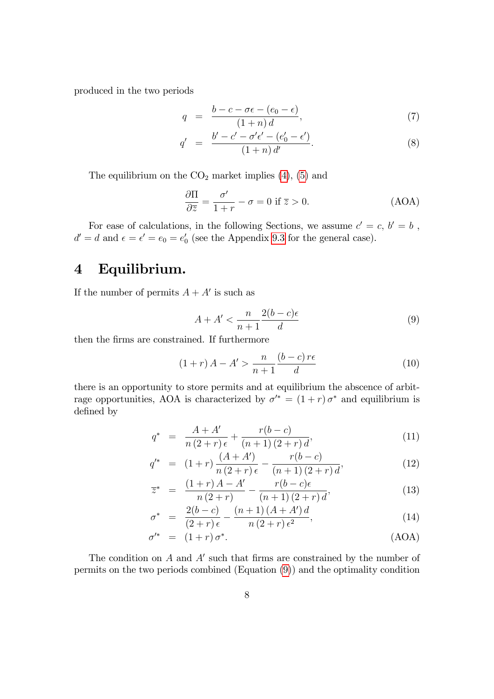produced in the two periods

$$
q = \frac{b - c - \sigma \epsilon - (e_0 - \epsilon)}{(1 + n) d}, \tag{7}
$$

$$
q' = \frac{b' - c' - \sigma' \epsilon' - (e'_0 - \epsilon')}{(1 + n) d'}.
$$
 (8)

The equilibrium on the  $CO<sub>2</sub>$  market implies  $(4)$ ,  $(5)$  and

<span id="page-9-0"></span>
$$
\frac{\partial \Pi}{\partial \overline{z}} = \frac{\sigma'}{1+r} - \sigma = 0 \text{ if } \overline{z} > 0.
$$
 (AOA)

For ease of calculations, in the following Sections, we assume  $c' = c, b' = b$ ,  $d' = d$  and  $\epsilon = \epsilon' = e_0 = e'_0$  $\frac{1}{0}$  (see the Appendix [9.3](#page-19-0) for the general case).

# 4 Equilibrium.

If the number of permits  $A + A'$  is such as

$$
A + A' < \frac{n}{n+1} \frac{2(b-c)\epsilon}{d} \tag{9}
$$

then the firms are constrained. If furthermore

<span id="page-9-1"></span>
$$
(1+r) A - A' > \frac{n}{n+1} \frac{(b-c)r\epsilon}{d}
$$
\n
$$
(10)
$$

there is an opportunity to store permits and at equilibrium the abscence of arbitrage opportunities, AOA is characterized by  $\sigma^* = (1+r)\sigma^*$  and equilibrium is defined by

$$
q^* = \frac{A + A'}{n(2+r)\epsilon} + \frac{r(b-c)}{(n+1)(2+r)d},
$$
\n(11)

<span id="page-9-2"></span>
$$
q'^{*} = (1+r)\frac{(A+A')}{n(2+r)\epsilon} - \frac{r(b-c)}{(n+1)(2+r)d},
$$
\n(12)

$$
\overline{z}^* = \frac{(1+r)A - A'}{n(2+r)} - \frac{r(b-c)\epsilon}{(n+1)(2+r)d},
$$
\n(13)

$$
\sigma^* = \frac{2(b-c)}{(2+r)\epsilon} - \frac{(n+1)(A+A')d}{n(2+r)\epsilon^2},
$$
\n(14)

$$
\sigma'^* = (1+r)\,\sigma^*.\tag{AOA}
$$

The condition on  $A$  and  $A'$  such that firms are constrained by the number of permits on the two periods combined (Equation [\(9\)](#page-9-0)) and the optimality condition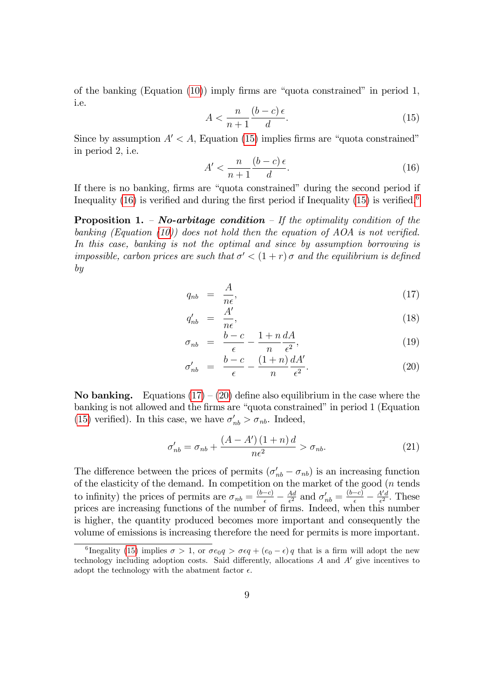of the banking (Equation  $(10)$ ) imply firms are "quota constrained" in period 1, i.e.

<span id="page-10-0"></span>
$$
A < \frac{n}{n+1} \frac{(b-c)\epsilon}{d}.\tag{15}
$$

Since by assumption  $A' < A$ , Equation [\(15\)](#page-10-0) implies firms are "quota constrained" in period 2; i.e.

<span id="page-10-1"></span>
$$
A' < \frac{n}{n+1} \frac{(b-c)\epsilon}{d}.\tag{16}
$$

If there is no banking, firms are "quota constrained" during the second period if Inequality [\(16\)](#page-10-1) is verified and during the first period if Inequality [\(15\)](#page-10-0) is verified.<sup>[6](#page-10-2)</sup>

**Proposition 1.**  $\sim$  *No-arbitage condition*  $\sim$  *If the optimality condition of the* banking (Equation [\(10\)](#page-9-1)) does not hold then the equation of  $AOA$  is not verified. In this case, banking is not the optimal and since by assumption borrowing is impossible, carbon prices are such that  $\sigma' < (1+r)\sigma$  and the equilibrium is defined by

$$
q_{nb} = \frac{A}{n\epsilon},\tag{17}
$$

<span id="page-10-3"></span>
$$
q'_{nb} = \frac{A'}{n\epsilon},\tag{18}
$$

$$
\sigma_{nb} = \frac{b-c}{\epsilon} - \frac{1+n}{n} \frac{dA}{\epsilon^2},\tag{19}
$$

$$
\sigma'_{nb} = \frac{b-c}{\epsilon} - \frac{(1+n)}{n} \frac{dA'}{\epsilon^2}.
$$
\n(20)

**No banking.** Equations  $(17) - (20)$  $(17) - (20)$  define also equilibrium in the case where the banking is not allowed and the firms are "quota constrained" in period 1 (Equation [\(15\)](#page-10-0) verified). In this case, we have  $\sigma'_{nb} > \sigma_{nb}$ . Indeed,

$$
\sigma'_{nb} = \sigma_{nb} + \frac{(A - A')\left(1 + n\right)d}{n\epsilon^2} > \sigma_{nb}.\tag{21}
$$

The difference between the prices of permits  $(\sigma'_{nb} - \sigma_{nb})$  is an increasing function of the elasticity of the demand. In competition on the market of the good  $(n \text{ tends})$ to infinity) the prices of permits are  $\sigma_{nb} = \frac{(b-c)}{\epsilon} - \frac{Ad}{\epsilon^2}$  $\frac{Ad}{\epsilon^2}$  and  $\sigma'_{nb} = \frac{(b-c)}{\epsilon} - \frac{A'd}{\epsilon^2}$  $\frac{4'd}{\epsilon^2}$ . These prices are increasing functions of the number of Örms. Indeed, when this number is higher, the quantity produced becomes more important and consequently the volume of emissions is increasing therefore the need for permits is more important.

<span id="page-10-2"></span><sup>&</sup>lt;sup>6</sup>Inegality [\(15\)](#page-10-0) implies  $\sigma > 1$ , or  $\sigma e_0 q > \sigma \epsilon q + (e_0 - \epsilon) q$  that is a firm will adopt the new technology including adoption costs. Said differently, allocations  $A$  and  $A'$  give incentives to adopt the technology with the abatment factor  $\epsilon$ .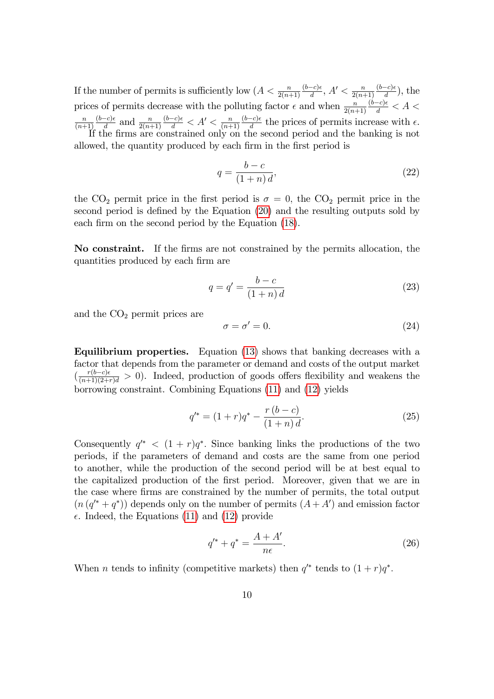If the number of permits is sufficiently low  $(A < \frac{n}{2(n+1)}$  $(b-c)\epsilon$  $\frac{(-c)\epsilon}{d}$ ,  $A' < \frac{n}{2(n-\epsilon)}$  $2(n+1)$  $(b-c)\epsilon$  $\frac{-c)\epsilon}{d}$ ), the prices of permits decrease with the polluting factor  $\epsilon$  and when  $\frac{n}{2(n+1)}$  $\frac{(\dot{b}-c)\epsilon}{d} < A <$ n  $(n+1)$  $(b-c)\epsilon$  $rac{-c}{d}$  and  $rac{n}{2(n+1)}$  $\frac{(b-c)\epsilon}{d} < A' < \frac{n}{(n+\epsilon)}$  $(n+1)$  $(b-c)\epsilon$  $\frac{-c}{d}$  the prices of permits increase with  $\epsilon$ . If the firms are constrained only on the second period and the banking is not allowed, the quantity produced by each firm in the first period is

> $q =$  $b - c$  $(1+n)d$  $(22)$

the CO<sub>2</sub> permit price in the first period is  $\sigma = 0$ , the CO<sub>2</sub> permit price in the second period is defined by the Equation [\(20\)](#page-10-3) and the resulting outputs sold by each firm on the second period by the Equation [\(18\)](#page-10-3).

No constraint. If the Örms are not constrained by the permits allocation, the quantities produced by each firm are

$$
q = q' = \frac{b - c}{(1 + n)d} \tag{23}
$$

and the  $CO<sub>2</sub>$  permit prices are

$$
\sigma = \sigma' = 0. \tag{24}
$$

Equilibrium properties. Equation [\(13\)](#page-9-2) shows that banking decreases with a factor that depends from the parameter or demand and costs of the output market  $\left(\frac{r(b-c)\epsilon}{(n+1)(2+r)d} > 0\right)$ . Indeed, production of goods offers flexibility and weakens the borrowing constraint. Combining Equations [\(11\)](#page-9-2) and [\(12\)](#page-9-2) yields

$$
q'^{*} = (1+r)q^{*} - \frac{r(b-c)}{(1+n)d}.
$$
\n(25)

Consequently  $q^*$  <  $(1 + r)q^*$ . Since banking links the productions of the two periods, if the parameters of demand and costs are the same from one period to another, while the production of the second period will be at best equal to the capitalized production of the first period. Moreover, given that we are in the case where Örms are constrained by the number of permits, the total output  $(n(q^{\prime*} + q^*))$  depends only on the number of permits  $(A + A')$  and emission factor  $\epsilon$ . Indeed, the Equations [\(11\)](#page-9-2) and [\(12\)](#page-9-2) provide

$$
q'^{*} + q^{*} = \frac{A + A'}{n\epsilon}.
$$
 (26)

When *n* tends to infinity (competitive markets) then  $q^*$  tends to  $(1+r)q^*$ .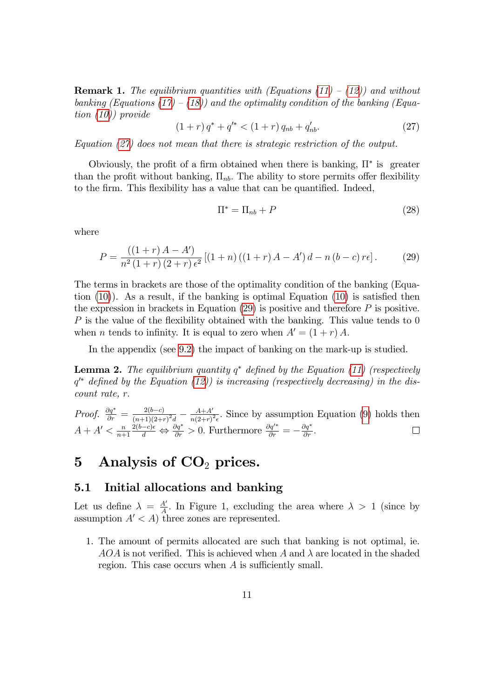**Remark 1.** The equilibrium quantities with (Equations  $(11) - (12)$  $(11) - (12)$ ) and without banking (Equations [\(17\)](#page-10-3) – [\(18\)](#page-10-3)) and the optimality condition of the banking (Equation [\(10\)](#page-9-1)) provide

<span id="page-12-0"></span>
$$
(1+r) q^* + q'^* < (1+r) q_{nb} + q'_{nb}.\tag{27}
$$

Equation [\(27\)](#page-12-0) does not mean that there is strategic restriction of the output.

Obviously, the profit of a firm obtained when there is banking,  $\Pi^*$  is greater than the profit without banking,  $\Pi_{nb}$ . The ability to store permits offer flexibility to the firm. This flexibility has a value that can be quantified. Indeed,

$$
\Pi^* = \Pi_{nb} + P \tag{28}
$$

where

<span id="page-12-1"></span>
$$
P = \frac{((1+r)A - A')}{n^2(1+r)(2+r)\epsilon^2} [(1+n)((1+r)A - A')d - n(b-c)r\epsilon].
$$
 (29)

The terms in brackets are those of the optimality condition of the banking (Equation  $(10)$ ). As a result, if the banking is optimal Equation  $(10)$  is satisfied then the expression in brackets in Equation  $(29)$  is positive and therefore P is positive.  $P$  is the value of the flexibility obtained with the banking. This value tends to 0 when *n* tends to infinity. It is equal to zero when  $A' = (1 + r) A$ .

In the appendix (see [9.2\)](#page-18-1) the impact of banking on the mark-up is studied.

**Lemma 2.** The equilibrium quantity  $q^*$  defined by the Equation [\(11\)](#page-9-2) (respectively  $q^*$  defined by the Equation [\(12\)](#page-9-2)) is increasing (respectively decreasing) in the discount rate, r:

*Proof.*  $\frac{\partial q^*}{\partial r} = \frac{2(b-c)}{(n+1)(2+r)}$  $\frac{2(b-c)}{(n+1)(2+r)^2d} - \frac{A+A'}{n(2+r)}$  $\frac{A+A'}{n(2+r)^2\epsilon}$ . Since by assumption Equation [\(9\)](#page-9-0) holds then  $A + A' < \frac{n}{n+1}$  $n+1$  $\frac{\partial (b-c)\epsilon}{\partial t} \Leftrightarrow \frac{\partial q^*}{\partial r} > 0.$  Furthermore  $\frac{\partial q'^*}{\partial r} = -\frac{\partial q^*}{\partial r}$ .

## 5 Analysis of  $CO<sub>2</sub>$  prices.

#### 5.1 Initial allocations and banking

Let us define  $\lambda = \frac{A}{A}$  $\frac{A'}{A}$ . In Figure 1, excluding the area where  $\lambda > 1$  (since by assumption  $A' < A$ ) three zones are represented.

1. The amount of permits allocated are such that banking is not optimal, ie.  $AOA$  is not verified. This is achieved when A and  $\lambda$  are located in the shaded region. This case occurs when  $A$  is sufficiently small.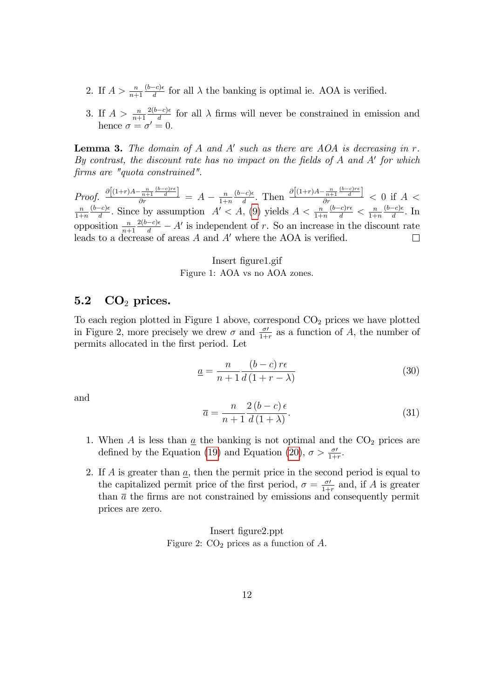- 2. If  $A > \frac{n}{n+1}$  $(b-c)\epsilon$  $\frac{-c}{d}$  for all  $\lambda$  the banking is optimal ie. AOA is verified.
- 3. If  $A > \frac{n}{n+1}$  $2(b-c)\epsilon$  $\frac{-c}{d}$  for all  $\lambda$  firms will never be constrained in emission and hence  $\sigma = \sigma' = 0$ .

**Lemma 3.** The domain of  $A$  and  $A'$  such as there are  $AOA$  is decreasing in  $r$ . By contrast, the discount rate has no impact on the fields of  $A$  and  $A'$  for which Örms are "quota constrained".

*Proof.*  $\frac{\partial \left[ (1+r)A - \frac{n}{n+1} \frac{(b-c)r\epsilon}{d} \right]}{\partial r} = A - \frac{n}{1+r}$  $\frac{-c)\epsilon}{d}$ . Then  $\frac{\partial \left[ (1+r)A-\frac{n}{n+1} \frac{(b-c)r\epsilon}{d} \right]}{\partial r} < 0$  if  $A <$  $(b-c)\epsilon$  $1+n$  $(b-c)\epsilon$  $\frac{(b-c)r\epsilon}{d} < \frac{n}{1+r}$  $(b-c)\epsilon$  $\frac{(-c)\epsilon}{d}$ . Since by assumption  $A' < A$ , [\(9\)](#page-9-0) yields  $A < \frac{n}{1+n}$ n  $\frac{-c}{d}$ . In  $1+n$  $1+n$  $\frac{2(b-c)\epsilon}{d} - A'$  is independent of r. So an increase in the discount rate opposition  $\frac{n}{n+1}$ leads to a decrease of areas  $A$  and  $A'$  where the AOA is verified.  $\Box$ 

> Insert Ögure1.gif Figure 1: AOA vs no AOA zones.

#### $5.2\quad\text{CO}_2\text{ prices.}$

To each region plotted in Figure 1 above, correspond  $CO<sub>2</sub>$  prices we have plotted in Figure 2, more precisely we drew  $\sigma$  and  $\frac{\sigma'}{1+r}$  as a function of A, the number of permits allocated in the Örst period. Let

$$
\underline{a} = \frac{n}{n+1} \frac{(b-c)\,\tau\epsilon}{d\,(1+r-\lambda)}\tag{30}
$$

and

$$
\overline{a} = \frac{n}{n+1} \frac{2(b-c)\epsilon}{d(1+\lambda)}.
$$
\n(31)

- 1. When A is less than  $\underline{a}$  the banking is not optimal and the  $CO<sub>2</sub>$  prices are defined by the Equation [\(19\)](#page-10-3) and Equation [\(20\)](#page-10-3),  $\sigma > \frac{\sigma'}{1+r}$ .
- 2. If  $A$  is greater than  $\underline{a}$ , then the permit price in the second period is equal to the capitalized permit price of the first period,  $\sigma = \frac{\sigma}{1+}$  $\frac{\sigma}{1+r}$  and, if A is greater than  $\bar{a}$  the firms are not constrained by emissions and consequently permit prices are zero.

Insert Ögure2.ppt Figure 2:  $CO<sub>2</sub>$  prices as a function of A.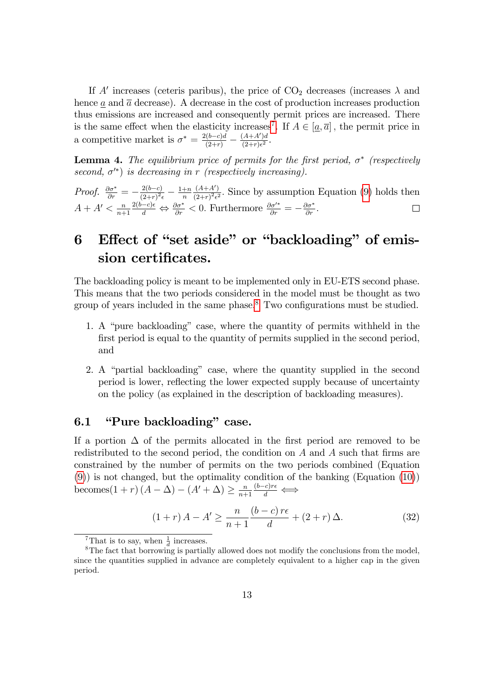If A' increases (ceteris paribus), the price of  $CO<sub>2</sub>$  decreases (increases  $\lambda$  and hence  $\underline{a}$  and  $\overline{a}$  decrease). A decrease in the cost of production increases production thus emissions are increased and consequently permit prices are increased. There is the same effect when the elasticity increases<sup>[7](#page-14-0)</sup>. If  $A \in [\underline{a}, \overline{a}]$ , the permit price in a competitive market is  $\sigma^* = \frac{2(b-c)d}{(2+r)} - \frac{(A+A')d}{(2+r)\epsilon^2}$  $\frac{(A+A')a}{(2+r)\epsilon^2}$ .

**Lemma 4.** The equilibrium price of permits for the first period,  $\sigma^*$  (respectively second,  $\sigma^{\prime*}$ ) is decreasing in r (respectively increasing).

Proof.  $\frac{\partial \sigma^*}{\partial r} = -\frac{2(b-c)}{(2+r)^2}$  $\frac{2(b-c)}{(2+r)^2 \epsilon} - \frac{1+n}{n}$ n  $(A+A')$  $\frac{(A+A')}{(2+r)^2\epsilon^2}$ . Since by assumption Equation [\(9\)](#page-9-0) holds then  $A + A' < \frac{n}{n+1}$  $n+1$  $\frac{2(b-c)\epsilon}{d} \Leftrightarrow \frac{\partial \sigma^*}{\partial r} < 0.$  Furthermore  $\frac{\partial \sigma'^*}{\partial r} = -\frac{\partial \sigma^*}{\partial r}$ .

# 6 Effect of "set aside" or "backloading" of emission certificates.

The backloading policy is meant to be implemented only in EU-ETS second phase. This means that the two periods considered in the model must be thought as two group of years included in the same phase.<sup>[8](#page-14-1)</sup> Two configurations must be studied.

- 1. A "pure backloading" case, where the quantity of permits withheld in the first period is equal to the quantity of permits supplied in the second period, and
- 2. A "partial backloading" case, where the quantity supplied in the second period is lower, reflecting the lower expected supply because of uncertainty on the policy (as explained in the description of backloading measures).

### 6.1 **"Pure backloading"** case.

If a portion  $\Delta$  of the permits allocated in the first period are removed to be redistributed to the second period, the condition on  $A$  and  $A$  such that firms are constrained by the number of permits on the two periods combined (Equation [\(9\)](#page-9-0)) is not changed, but the optimality condition of the banking (Equation [\(10\)](#page-9-1)) becomes  $(1 + r) (A - \Delta) - (A' + \Delta) \ge \frac{n}{n+1}$  $n+1$  $rac{(b-c)r\epsilon}{d} \Longleftrightarrow$ 

<span id="page-14-2"></span>
$$
(1+r) A - A' \ge \frac{n}{n+1} \frac{(b-c)r\epsilon}{d} + (2+r) \Delta.
$$
 (32)

<span id="page-14-1"></span><span id="page-14-0"></span><sup>&</sup>lt;sup>7</sup>That is to say, when  $\frac{1}{d}$  increases.

<sup>&</sup>lt;sup>8</sup>The fact that borrowing is partially allowed does not modify the conclusions from the model, since the quantities supplied in advance are completely equivalent to a higher cap in the given period.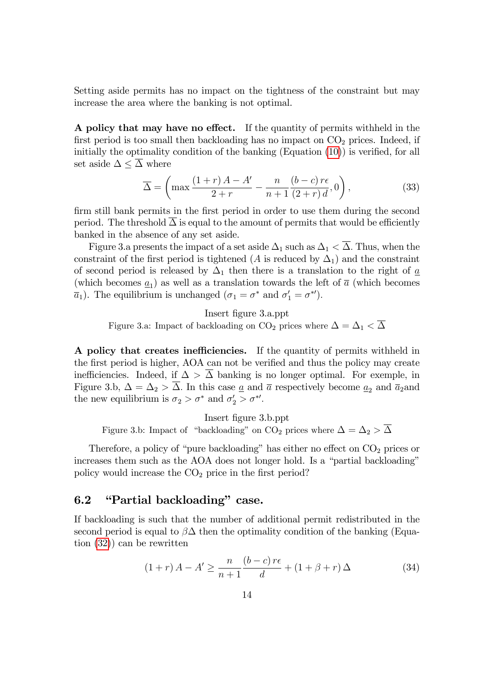Setting aside permits has no impact on the tightness of the constraint but may increase the area where the banking is not optimal.

A policy that may have no effect. If the quantity of permits withheld in the first period is too small then backloading has no impact on  $CO<sub>2</sub>$  prices. Indeed, if initially the optimality condition of the banking  $(Equation (10))$  $(Equation (10))$  $(Equation (10))$  is verified, for all set aside  $\Delta \leq \overline{\Delta}$  where

$$
\overline{\Delta} = \left( \max \frac{\left(1+r\right)A - A'}{2+r} - \frac{n}{n+1} \frac{\left(b-c\right)r\epsilon}{\left(2+r\right)d}, 0 \right),\tag{33}
$$

firm still bank permits in the first period in order to use them during the second period. The threshold  $\Delta$  is equal to the amount of permits that would be efficiently banked in the absence of any set aside.

Figure 3.a presents the impact of a set aside  $\Delta_1$  such as  $\Delta_1 < \overline{\Delta}$ . Thus, when the constraint of the first period is tightened (A is reduced by  $\Delta_1$ ) and the constraint of second period is released by  $\Delta_1$  then there is a translation to the right of  $\underline{a}$ (which becomes  $\underline{a}_1$ ) as well as a translation towards the left of  $\overline{a}$  (which becomes  $\overline{a}_1$ ). The equilibrium is unchanged  $(\sigma_1 = \sigma^*$  and  $\sigma'_1 = \sigma^{*'}).$ 

Insert Ögure 3.a.ppt

Figure 3.a: Impact of backloading on CO<sub>2</sub> prices where  $\Delta = \Delta_1 < \overline{\Delta}$ 

A policy that creates inefficiencies. If the quantity of permits withheld in the first period is higher, AOA can not be verified and thus the policy may create inefficiencies. Indeed, if  $\Delta > \Delta$  banking is no longer optimal. For exemple, in Figure 3.b,  $\Delta = \Delta_2 > \overline{\Delta}$ . In this case <u>a</u> and  $\overline{a}$  respectively become <u> $a_2$ </u> and  $\overline{a}_2$  and the new equilibrium is  $\sigma_2 > \sigma^*$  and  $\sigma_2' > \sigma^{*'}$ .

Insert Ögure 3.b.ppt Figure 3.b: Impact of "backloading" on CO<sub>2</sub> prices where  $\Delta = \Delta_2 > \overline{\Delta}$ 

Therefore, a policy of "pure backloading" has either no effect on  $CO<sub>2</sub>$  prices or increases them such as the AOA does not longer hold. Is a "partial backloading" policy would increase the  $CO<sub>2</sub>$  price in the first period?

#### 6.2 *'Partial backloading* case.

If backloading is such that the number of additional permit redistributed in the second period is equal to  $\beta\Delta$  then the optimality condition of the banking (Equation [\(32\)](#page-14-2)) can be rewritten

$$
(1+r) A - A' \ge \frac{n}{n+1} \frac{(b-c)r\epsilon}{d} + (1+\beta+r) \Delta \tag{34}
$$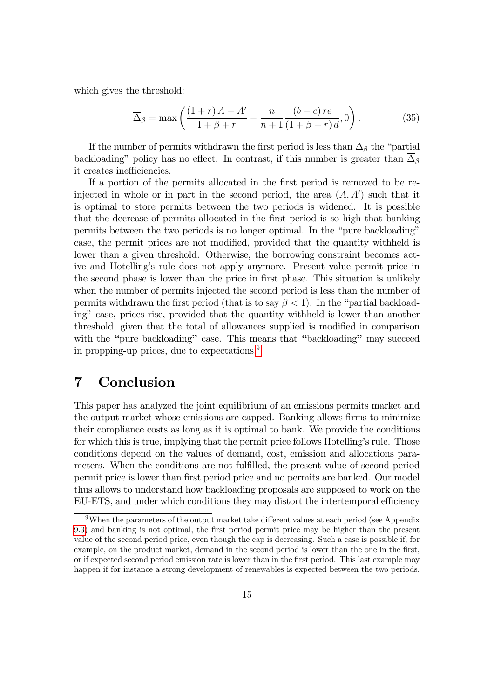which gives the threshold:

$$
\overline{\Delta}_{\beta} = \max\left(\frac{(1+r)A - A'}{1+\beta+r} - \frac{n}{n+1}\frac{(b-c)r\epsilon}{(1+\beta+r)d}, 0\right).
$$
 (35)

If the number of permits withdrawn the first period is less than  $\overline{\Delta}_{\beta}$  the "partial backloading" policy has no effect. In contrast, if this number is greater than  $\overline{\Delta}_{\beta}$ it creates inefficiencies.

If a portion of the permits allocated in the first period is removed to be reinjected in whole or in part in the second period, the area  $(A, A')$  such that it is optimal to store permits between the two periods is widened. It is possible that the decrease of permits allocated in the Örst period is so high that banking permits between the two periods is no longer optimal. In the "pure backloading" case, the permit prices are not modified, provided that the quantity withheld is lower than a given threshold. Otherwise, the borrowing constraint becomes active and Hotelling's rule does not apply anymore. Present value permit price in the second phase is lower than the price in first phase. This situation is unlikely when the number of permits injected the second period is less than the number of permits withdrawn the first period (that is to say  $\beta < 1$ ). In the "partial backloading" case, prices rise, provided that the quantity withheld is lower than another threshold, given that the total of allowances supplied is modified in comparison with the "pure backloading" case. This means that "backloading" may succeed in propping-up prices, due to expectations.[9](#page-16-0)

### 7 Conclusion

This paper has analyzed the joint equilibrium of an emissions permits market and the output market whose emissions are capped. Banking allows firms to minimize their compliance costs as long as it is optimal to bank. We provide the conditions for which this is true, implying that the permit price follows Hotelling's rule. Those conditions depend on the values of demand, cost, emission and allocations parameters. When the conditions are not fulfilled, the present value of second period permit price is lower than first period price and no permits are banked. Our model thus allows to understand how backloading proposals are supposed to work on the EU-ETS, and under which conditions they may distort the intertemporal efficiency

<span id="page-16-0"></span> $9$ When the parameters of the output market take different values at each period (see Appendix [9.3\)](#page-19-0) and banking is not optimal, the first period permit price may be higher than the present value of the second period price, even though the cap is decreasing. Such a case is possible if, for example, on the product market, demand in the second period is lower than the one in the first, or if expected second period emission rate is lower than in the first period. This last example may happen if for instance a strong development of renewables is expected between the two periods.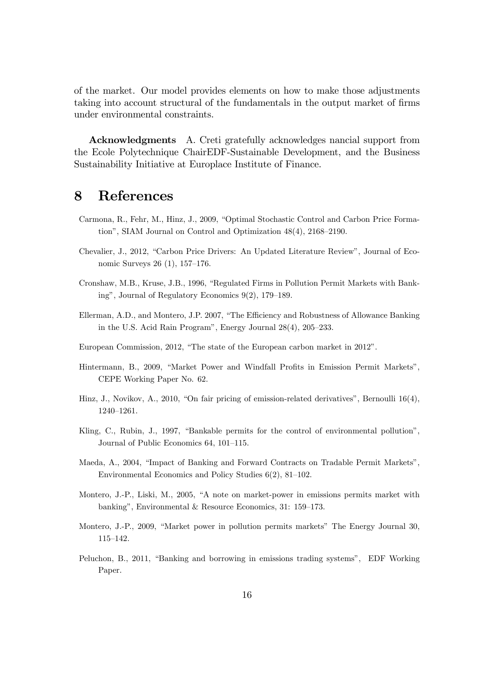of the market. Our model provides elements on how to make those adjustments taking into account structural of the fundamentals in the output market of firms under environmental constraints.

Acknowledgments A. Creti gratefully acknowledges nancial support from the Ecole Polytechnique ChairEDF-Sustainable Development, and the Business Sustainability Initiative at Europlace Institute of Finance.

### 8 References

- Carmona, R., Fehr, M., Hinz, J., 2009, "Optimal Stochastic Control and Carbon Price Formation", SIAM Journal on Control and Optimization  $48(4)$ ,  $2168-2190$ .
- Chevalier, J., 2012, "Carbon Price Drivers: An Updated Literature Review", Journal of Economic Surveys  $26(1)$ , 157–176.
- Cronshaw, M.B., Kruse, J.B., 1996, "Regulated Firms in Pollution Permit Markets with Banking", Journal of Regulatory Economics  $9(2)$ , 179–189.
- Ellerman, A.D., and Montero, J.P. 2007, "The Efficiency and Robustness of Allowance Banking in the U.S. Acid Rain Program", Energy Journal  $28(4)$ ,  $205-233$ .
- European Commission, 2012, "The state of the European carbon market in 2012".
- Hintermann, B., 2009, "Market Power and Windfall Profits in Emission Permit Markets", CEPE Working Paper No. 62.
- Hinz, J., Novikov, A., 2010, "On fair pricing of emission-related derivatives", Bernoulli  $16(4)$ , 1240-1261.
- Kling, C., Rubin, J., 1997, "Bankable permits for the control of environmental pollution", Journal of Public Economics 64, 101-115.
- Maeda, A., 2004, "Impact of Banking and Forward Contracts on Tradable Permit Markets", Environmental Economics and Policy Studies  $6(2)$ ,  $81-102$ .
- Montero, J.-P., Liski, M., 2005, "A note on market-power in emissions permits market with banking", Environmental & Resource Economics, 31: 159–173.
- Montero, J.-P., 2009, "Market power in pollution permits markets" The Energy Journal 30,  $115 - 142.$
- Peluchon, B., 2011, "Banking and borrowing in emissions trading systems", EDF Working Paper.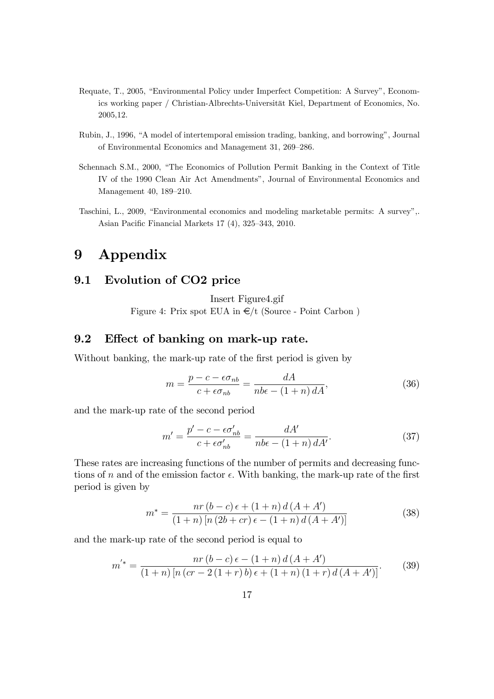- Requate, T., 2005, "Environmental Policy under Imperfect Competition: A Survey", Economics working paper / Christian-Albrechts-Universität Kiel, Department of Economics, No. 2005,12.
- Rubin, J., 1996, "A model of intertemporal emission trading, banking, and borrowing", Journal of Environmental Economics and Management 31, 269–286.
- Schennach S.M., 2000, "The Economics of Pollution Permit Banking in the Context of Title IV of the 1990 Clean Air Act Amendments", Journal of Environmental Economics and Management 40, 189-210.
- Taschini, L., 2009, "Environmental economics and modeling marketable permits: A survey",. Asian Pacific Financial Markets  $17$  (4),  $325-343$ ,  $2010$ .

### 9 Appendix

### <span id="page-18-0"></span>9.1 Evolution of CO2 price

Insert Figure4.gif

Figure 4: Prix spot EUA in  $\epsilon$ /t (Source - Point Carbon)

#### <span id="page-18-1"></span>9.2 Effect of banking on mark-up rate.

Without banking, the mark-up rate of the first period is given by

<span id="page-18-2"></span>
$$
m = \frac{p - c - \epsilon \sigma_{nb}}{c + \epsilon \sigma_{nb}} = \frac{dA}{nb\epsilon - (1+n) dA},\tag{36}
$$

and the mark-up rate of the second period

<span id="page-18-4"></span>
$$
m' = \frac{p' - c - \epsilon \sigma'_{nb}}{c + \epsilon \sigma'_{nb}} = \frac{dA'}{nb\epsilon - (1+n) dA'}.
$$
 (37)

These rates are increasing functions of the number of permits and decreasing functions of n and of the emission factor  $\epsilon$ . With banking, the mark-up rate of the first period is given by

<span id="page-18-3"></span>
$$
m^* = \frac{nr(b-c)\epsilon + (1+n)d(A+A')}{(1+n)[n(2b+cr)\epsilon - (1+n)d(A+A')]}
$$
(38)

and the mark-up rate of the second period is equal to

<span id="page-18-5"></span>
$$
m'^* = \frac{nr(b-c)\epsilon - (1+n)d(A+A')}{(1+n)[n(cr-2(1+r)b)\epsilon + (1+n)(1+r)d(A+A')]}.
$$
 (39)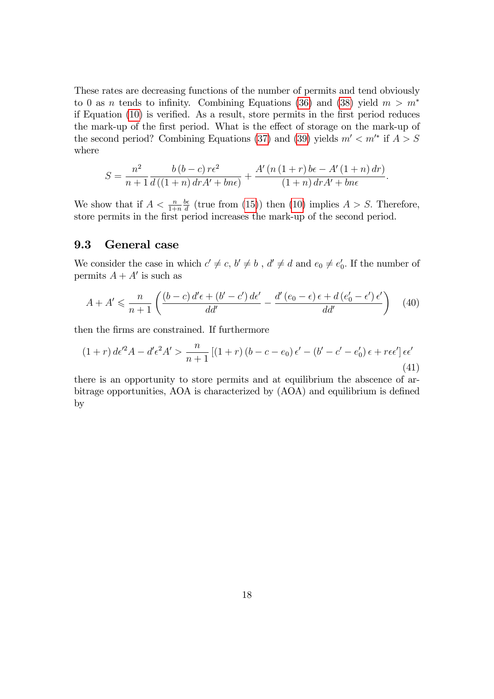These rates are decreasing functions of the number of permits and tend obviously to 0 as *n* tends to infinity. Combining Equations [\(36\)](#page-18-2) and [\(38\)](#page-18-3) yield  $m > m^*$ if Equation  $(10)$  is verified. As a result, store permits in the first period reduces the mark-up of the first period. What is the effect of storage on the mark-up of the second period? Combining Equations [\(37\)](#page-18-4) and [\(39\)](#page-18-5) yields  $m' < m'^*$  if  $A > S$ where

$$
S = \frac{n^2}{n+1} \frac{b(b-c)r\epsilon^2}{d((1+n) dr A' + b n \epsilon)} + \frac{A'(n (1+r) b\epsilon - A'(1+n) dr)}{(1+n) dr A' + b n \epsilon}.
$$

We show that if  $A < \frac{n}{1+n}$  $b\epsilon$  $\frac{\partial e}{\partial d}$  (true from [\(15\)](#page-10-0)) then [\(10\)](#page-9-1) implies  $A > S$ . Therefore, store permits in the first period increases the mark-up of the second period.

#### <span id="page-19-0"></span>9.3 General case

We consider the case in which  $c' \neq c, b' \neq b$ ,  $d' \neq d$  and  $e_0 \neq e'_0$  $v_0'$ . If the number of permits  $A + A'$  is such as

$$
A + A' \leqslant \frac{n}{n+1} \left( \frac{\left(b-c\right) d' \epsilon + \left(b' - c'\right) d \epsilon'}{d d'} - \frac{d' \left(e_0 - \epsilon\right) \epsilon + d \left(e'_0 - \epsilon'\right) \epsilon'}{d d'} \right) \tag{40}
$$

then the Örms are constrained. If furthermore

<span id="page-19-1"></span>
$$
(1+r) d\epsilon'^2 A - d'\epsilon^2 A' > \frac{n}{n+1} \left[ (1+r) (b-c-e_0) \epsilon' - (b'-c'-e'_0) \epsilon + r\epsilon \epsilon' \right] \epsilon \epsilon'
$$
\n
$$
(41)
$$

there is an opportunity to store permits and at equilibrium the abscence of arbitrage opportunities, AOA is characterized by  $(AOA)$  and equilibrium is defined by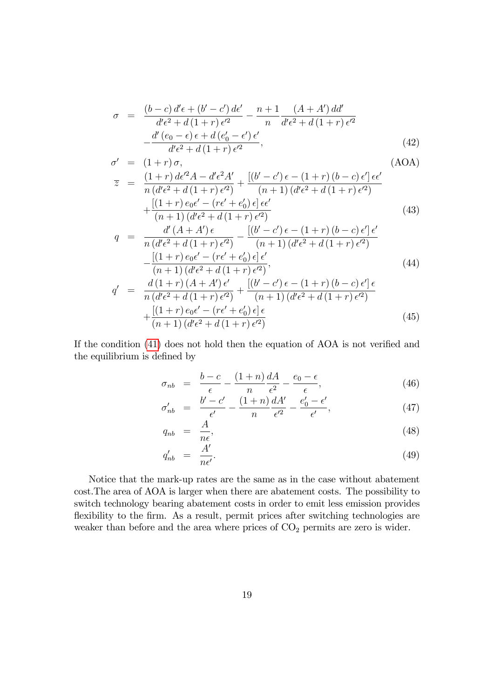$$
\sigma = \frac{(b-c) d'\epsilon + (b'-c') d\epsilon'}{d'\epsilon^2 + d(1+r) \epsilon'^2} - \frac{n+1}{n} \frac{(A+A') dd'}{d'\epsilon^2 + d(1+r) \epsilon'^2} - \frac{d'(e_0-\epsilon) \epsilon + d(e'_0-\epsilon') \epsilon'}{d'\epsilon^2 + d(1+r) \epsilon'^2},
$$
\n(42)

$$
\sigma' = (1+r)\sigma,
$$
\n(AOA)  
\n
$$
\overline{z} = \frac{(1+r)d\epsilon'^{2}A - d'\epsilon^{2}A'}{d\epsilon'^{2}A + d'\epsilon'^{2}A'} + \frac{[(b'-c')\epsilon - (1+r)(b-c)\epsilon']\epsilon\epsilon'}{d\epsilon'^{2}A + d'\epsilon'^{2}A'}
$$

$$
= \frac{(1+r) \, \mathrm{d}t}{n \, (d'\epsilon^2 + d(1+r) \, \epsilon'^2)} + \frac{[(0-c)\, \mathrm{d}t + r] \, (0-c)\, \mathrm{d}t}{(n+1) \, (d'\epsilon^2 + d(1+r) \, \epsilon'^2)} + \frac{[(1+r) \, e_0 \epsilon' - (r\epsilon' + e'_0) \, \epsilon] \, \epsilon \epsilon'}{(n+1) \, (d'\epsilon^2 + d(1+r) \, \epsilon'^2)}
$$
(43)

$$
q = \frac{d'(A + A')\epsilon}{n(d'\epsilon^2 + d(1+r)\epsilon'^2)} - \frac{[(b'-c')\epsilon - (1+r)(b-c)\epsilon']\epsilon'}{(n+1)(d'\epsilon^2 + d(1+r)\epsilon'^2)} - \frac{[(1+r)\epsilon_0\epsilon' - (r\epsilon' + e'_0)\epsilon]\epsilon'}{(n+1)(d'\epsilon^2 + d(1+r)\epsilon'^2)},
$$
\n
$$
q' = \frac{d(1+r)(A + A')\epsilon'}{n(d'\epsilon^2 + d(1+r)\epsilon'^2)} + \frac{[(b'-c')\epsilon - (1+r)(b-c)\epsilon']\epsilon}{(n+1)(d'\epsilon^2 + d(1+r)\epsilon'^2)}
$$
\n(44)

$$
= \frac{\pi (1+r)(1+r+1)e^{-r}}{n (d'\epsilon^2 + d(1+r) \epsilon'^2)} + \frac{\pi}{(n+1) (d'\epsilon^2 + d(1+r) \epsilon'^2)} + \frac{[(1+r)e_0\epsilon' - (r\epsilon' + e'_0)\epsilon]\epsilon}{(n+1) (d'\epsilon^2 + d(1+r) \epsilon'^2)}
$$
(45)

If the condition  $(41)$  does not hold then the equation of AOA is not verified and the equilibrium is defined by

$$
\sigma_{nb} = \frac{b-c}{\epsilon} - \frac{(1+n) dA}{n} \frac{dA}{\epsilon^2} - \frac{e_0 - \epsilon}{\epsilon}, \tag{46}
$$

$$
\sigma'_{nb} = \frac{b'-c'}{\epsilon'} - \frac{(1+n)}{n} \frac{dA'}{\epsilon'^2} - \frac{e'_0 - \epsilon'}{\epsilon'},\tag{47}
$$

$$
q_{nb} = \frac{A}{n\epsilon},\tag{48}
$$

$$
q'_{nb} = \frac{A'}{n\epsilon'}.
$$
\n(49)

Notice that the mark-up rates are the same as in the case without abatement cost.The area of AOA is larger when there are abatement costs. The possibility to switch technology bearing abatement costs in order to emit less emission provides flexibility to the firm. As a result, permit prices after switching technologies are weaker than before and the area where prices of  $CO<sub>2</sub>$  permits are zero is wider.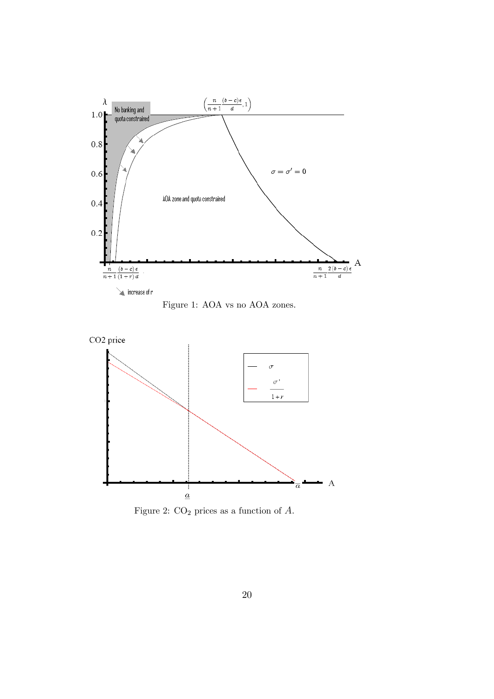





Figure 2:  $CO<sub>2</sub>$  prices as a function of  $A$ .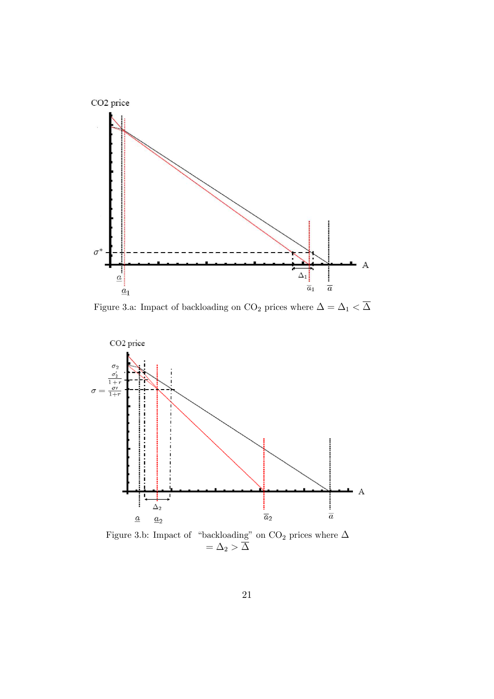



Figure 3.b: Impact of "backloading" on  $\mathrm{CO}_2$  prices where  $\Delta$  $=\Delta_2 > \Delta$